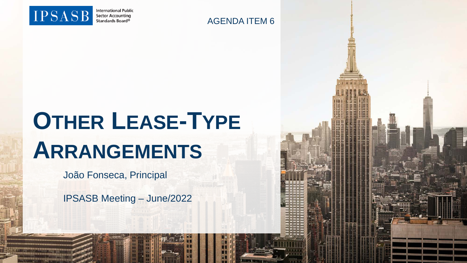

**International Public Sector Accounting** Standards Board®

#### AGENDA ITEM 6

# **OTHER LEASE-TYPE ARRANGEMENTS**

João Fonseca, Principal

IPSASB Meeting – June/2022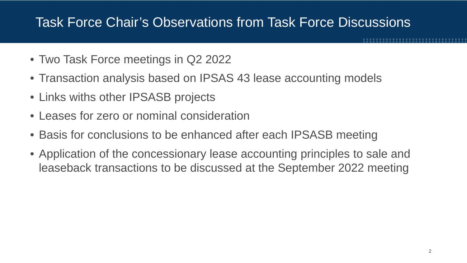# Task Force Chair's Observations from Task Force Discussions

- Two Task Force meetings in Q2 2022
- Transaction analysis based on IPSAS 43 lease accounting models
- Links withs other IPSASB projects
- Leases for zero or nominal consideration
- Basis for conclusions to be enhanced after each IPSASB meeting
- Application of the concessionary lease accounting principles to sale and leaseback transactions to be discussed at the September 2022 meeting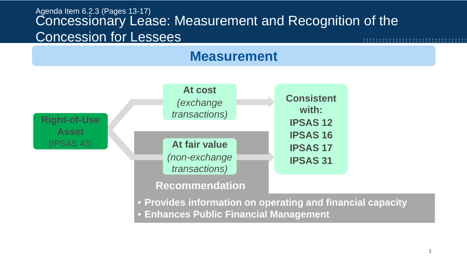#### Agenda Item 6.2.3 (Pages 13-17) Concessionary Lease: Measurement and Recognition of the Concession for Lessees **8222222222222**



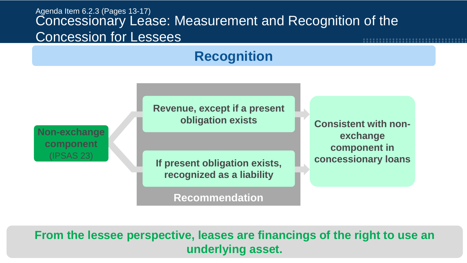#### Agenda Item 6.2.3 (Pages 13-17) Concessionary Lease: Measurement and Recognition of the Concession for Lessees

# **Recognition**

**Revenue, except if a present obligation exists**

**Non-exchange component** (IPSAS 23)

**If present obligation exists, recognized as a liability**

**Recommendation**

**Consistent with nonexchange component in concessionary loans**

**From the lessee perspective, leases are financings of the right to use an underlying asset.**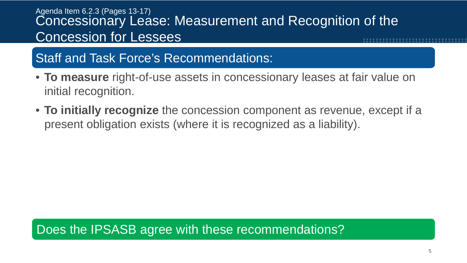#### Agenda Item 6.2.3 (Pages 13-17) Concessionary Lease: Measurement and Recognition of the Concession for Lessees

# Staff and Task Force's Recommendations:

- **To measure** right-of-use assets in concessionary leases at fair value on initial recognition.
- **To initially recognize** the concession component as revenue, except if a present obligation exists (where it is recognized as a liability).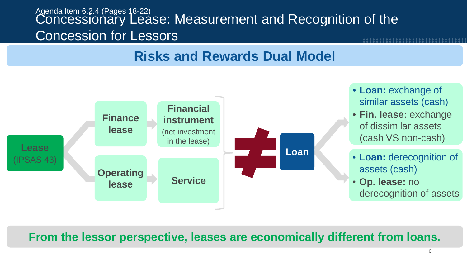#### Agenda Item 6.2.4 (Pages 18-22) Concessionary Lease: Measurement and Recognition of the Concession for Lessors

# **Risks and Rewards Dual Model**



- **Loan:** exchange of similar assets (cash)
- **Fin. lease:** exchange of dissimilar assets (cash VS non-cash)
- **Loan:** derecognition of assets (cash)
- **Op. lease:** no derecognition of assets

#### **From the lessor perspective, leases are economically different from loans.**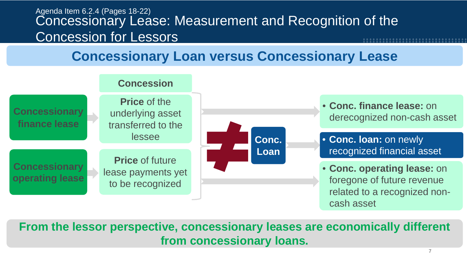#### Agenda Item 6.2.4 (Pages 18-22) Concessionary Lease: Measurement and Recognition of the Concession for Lessors

# **Concessionary Loan versus Concessionary Lease**



**From the lessor perspective, concessionary leases are economically different from concessionary loans.**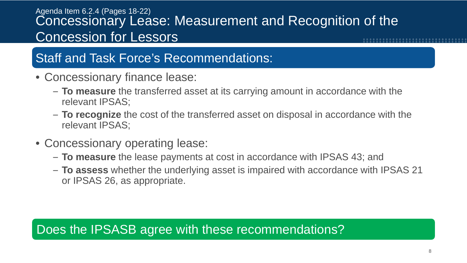#### Agenda Item 6.2.4 (Pages 18-22) Concessionary Lease: Measurement and Recognition of the Concession for Lessors

# Staff and Task Force's Recommendations:

- Concessionary finance lease:
	- **To measure** the transferred asset at its carrying amount in accordance with the relevant IPSAS;
	- **To recognize** the cost of the transferred asset on disposal in accordance with the relevant IPSAS;
- Concessionary operating lease:
	- **To measure** the lease payments at cost in accordance with IPSAS 43; and
	- **To assess** whether the underlying asset is impaired with accordance with IPSAS 21 or IPSAS 26, as appropriate.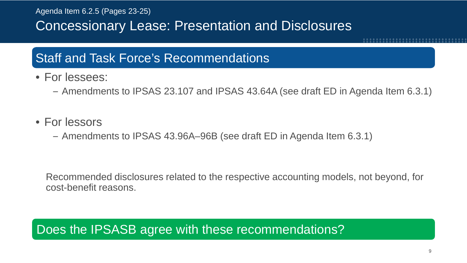Agenda Item 6.2.5 (Pages 23-25)

Concessionary Lease: Presentation and Disclosures

### Staff and Task Force's Recommendations

- For lessees:
	- Amendments to IPSAS 23.107 and IPSAS 43.64A (see draft ED in Agenda Item 6.3.1)
- For lessors
	- Amendments to IPSAS 43.96A–96B (see draft ED in Agenda Item 6.3.1)

Recommended disclosures related to the respective accounting models, not beyond, for cost-benefit reasons.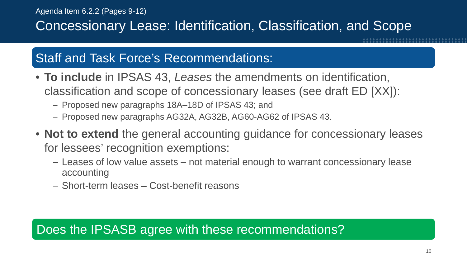# Concessionary Lease: Identification, Classification, and Scope

# Staff and Task Force's Recommendations:

- **To include** in IPSAS 43, *Leases* the amendments on identification, classification and scope of concessionary leases (see draft ED [XX]):
	- Proposed new paragraphs 18A–18D of IPSAS 43; and
	- Proposed new paragraphs AG32A, AG32B, AG60-AG62 of IPSAS 43.
- **Not to extend** the general accounting guidance for concessionary leases for lessees' recognition exemptions:
	- Leases of low value assets not material enough to warrant concessionary lease accounting
	- Short-term leases Cost-benefit reasons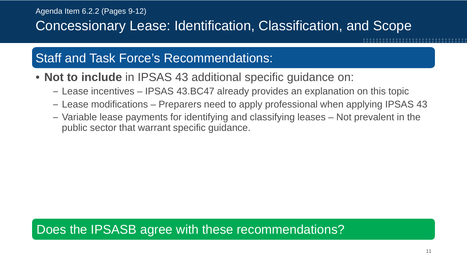Concessionary Lease: Identification, Classification, and Scope

# Staff and Task Force's Recommendations:

- **Not to include** in IPSAS 43 additional specific guidance on:
	- Lease incentives IPSAS 43.BC47 already provides an explanation on this topic
	- Lease modifications Preparers need to apply professional when applying IPSAS 43
	- Variable lease payments for identifying and classifying leases Not prevalent in the public sector that warrant specific guidance.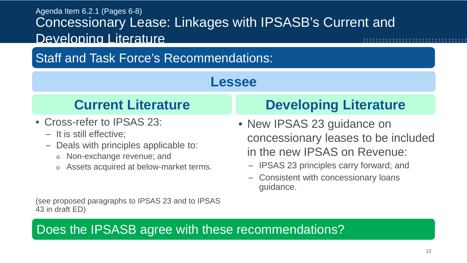#### Agenda Item 6.2.1 (Pages 6-8) Concessionary Lease: Linkages with IPSASB's Current and Developing Literature

# Staff and Task Force's Recommendations:

#### **Lessee**

- Cross-refer to IPSAS 23:
	- It is still effective;
	- Deals with principles applicable to:
		- o Non-exchange revenue; and
		- o Assets acquired at below-market terms.

# **Current Literature Developing Literature**

- New IPSAS 23 guidance on concessionary leases to be included in the new IPSAS on Revenue:
	- IPSAS 23 principles carry forward; and
	- Consistent with concessionary loans guidance.

(see proposed paragraphs to IPSAS 23 and to IPSAS 43 in draft ED)